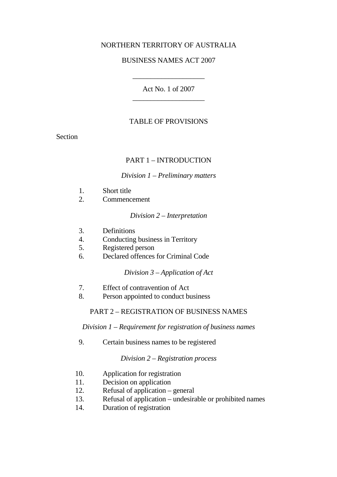# NORTHERN TERRITORY OF AUSTRALIA

#### BUSINESS NAMES ACT 2007

\_\_\_\_\_\_\_\_\_\_\_\_\_\_\_\_\_\_\_\_

Act No. 1 of 2007 \_\_\_\_\_\_\_\_\_\_\_\_\_\_\_\_\_\_\_\_

#### TABLE OF PROVISIONS

Section

#### PART 1 – INTRODUCTION

#### *Division 1 – Preliminary matters*

- 1. Short title
- 2. Commencement

#### *Division 2 – Interpretation*

- 3. Definitions
- 4. Conducting business in Territory
- 5. Registered person
- 6. Declared offences for Criminal Code

*Division 3 – Application of Act* 

- 7. Effect of contravention of Act
- 8. Person appointed to conduct business

#### PART 2 – REGISTRATION OF BUSINESS NAMES

*Division 1 – Requirement for registration of business names*

9. Certain business names to be registered

#### *Division 2 – Registration process*

- 10. Application for registration
- 11. Decision on application
- 12. Refusal of application general
- 13. Refusal of application undesirable or prohibited names
- 14. Duration of registration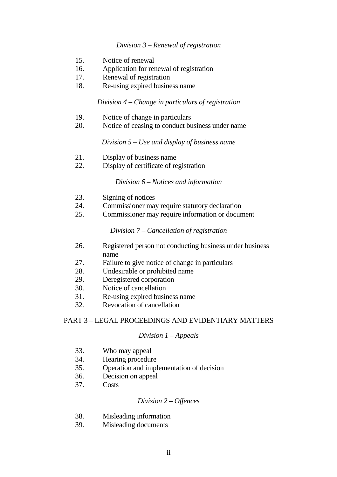#### *Division 3 – Renewal of registration*

- 15. Notice of renewal
- 16. Application for renewal of registration
- 17. Renewal of registration
- 18. Re-using expired business name

#### *Division 4 – Change in particulars of registration*

- 19. Notice of change in particulars
- 20. Notice of ceasing to conduct business under name

*Division 5 – Use and display of business name* 

- 21. Display of business name
- 22. Display of certificate of registration

#### *Division 6 – Notices and information*

- 23. Signing of notices
- 24. Commissioner may require statutory declaration
- 25. Commissioner may require information or document

*Division 7 – Cancellation of registration* 

- 26. Registered person not conducting business under business name
- 27. Failure to give notice of change in particulars
- 28. Undesirable or prohibited name
- 29. Deregistered corporation
- 30. Notice of cancellation
- 31. Re-using expired business name
- 32. Revocation of cancellation

#### PART 3 – LEGAL PROCEEDINGS AND EVIDENTIARY MATTERS

#### *Division 1 – Appeals*

- 33. Who may appeal
- 34. Hearing procedure
- 35. Operation and implementation of decision
- 36. Decision on appeal
- 37. Costs

#### *Division 2 – Offences*

- 38. Misleading information
- 39. Misleading documents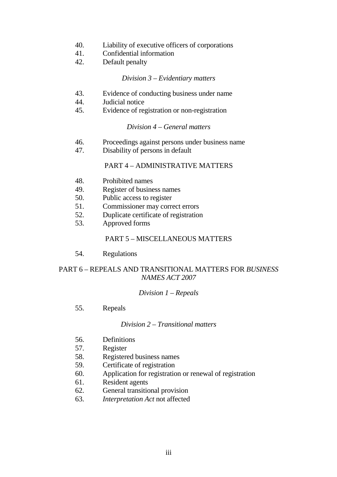- 40. Liability of executive officers of corporations
- 41. Confidential information
- 42. Default penalty

#### *Division 3 – Evidentiary matters*

- 43. Evidence of conducting business under name
- 44. Judicial notice
- 45. Evidence of registration or non-registration

#### *Division 4 – General matters*

- 46. Proceedings against persons under business name
- 47. Disability of persons in default

## PART 4 – ADMINISTRATIVE MATTERS

- 48. Prohibited names
- 49. Register of business names
- 50. Public access to register
- 51. Commissioner may correct errors
- 52. Duplicate certificate of registration
- 53. Approved forms

#### PART 5 – MISCELLANEOUS MATTERS

54. Regulations

## PART 6 – REPEALS AND TRANSITIONAL MATTERS FOR *BUSINESS NAMES ACT 2007*

#### *Division 1 – Repeals*

55. Repeals

#### *Division 2 – Transitional matters*

- 56. Definitions
- 57. Register
- 58. Registered business names
- 59. Certificate of registration
- 60. Application for registration or renewal of registration
- 61. Resident agents
- 62. General transitional provision
- 63. *Interpretation Act* not affected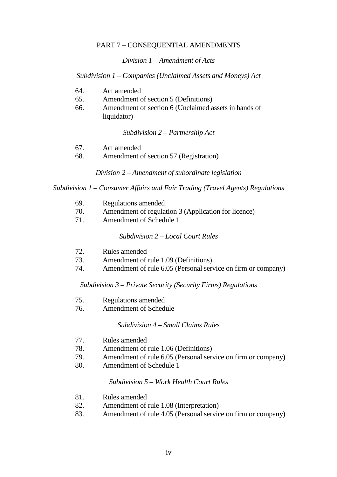#### PART 7 – CONSEQUENTIAL AMENDMENTS

*Division 1 – Amendment of Acts*

*Subdivision 1 – Companies (Unclaimed Assets and Moneys) Act*

- 64. Act amended
- 65. Amendment of section 5 (Definitions)
- 66. Amendment of section 6 (Unclaimed assets in hands of liquidator)

*Subdivision 2 – Partnership Act* 

- 67. Act amended
- 68. Amendment of section 57 (Registration)

*Division 2 – Amendment of subordinate legislation* 

*Subdivision 1 – Consumer Affairs and Fair Trading (Travel Agents) Regulations* 

- 69. Regulations amended
- 70. Amendment of regulation 3 (Application for licence)
- 71. Amendment of Schedule 1

*Subdivision 2 – Local Court Rules* 

- 72. Rules amended
- 73. Amendment of rule 1.09 (Definitions)
- 74. Amendment of rule 6.05 (Personal service on firm or company)

*Subdivision 3 – Private Security (Security Firms) Regulations* 

- 75. Regulations amended
- 76. Amendment of Schedule

*Subdivision 4 – Small Claims Rules* 

- 77. Rules amended
- 78. Amendment of rule 1.06 (Definitions)
- 79. Amendment of rule 6.05 (Personal service on firm or company)
- 80. Amendment of Schedule 1

*Subdivision 5 – Work Health Court Rules* 

- 81. Rules amended
- 82. Amendment of rule 1.08 (Interpretation)
- 83. Amendment of rule 4.05 (Personal service on firm or company)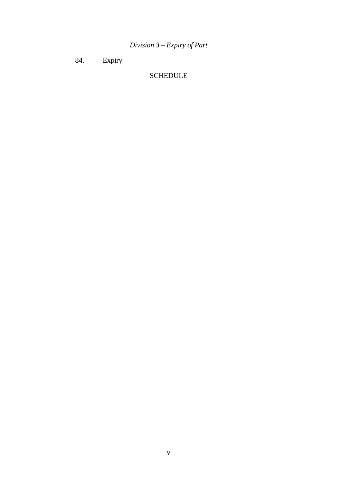*Division 3 – Expiry of Part* 

84. Expiry

# SCHEDULE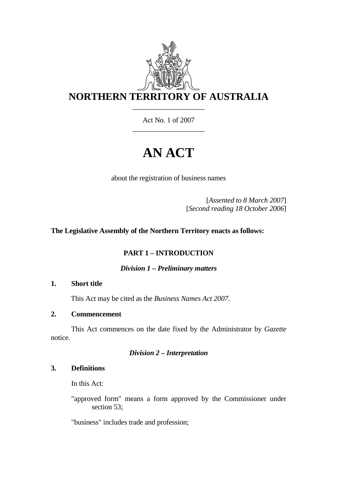

Act No. 1 of 2007 \_\_\_\_\_\_\_\_\_\_\_\_\_\_\_\_\_\_\_\_

# **AN ACT**

about the registration of business names

[*Assented to 8 March 2007*] [*Second reading 18 October 2006*]

# **The Legislative Assembly of the Northern Territory enacts as follows:**

# **PART 1 – INTRODUCTION**

*Division 1 – Preliminary matters* 

## **1. Short title**

This Act may be cited as the *Business Names Act 2007*.

# **2. Commencement**

 This Act commences on the date fixed by the Administrator by *Gazette* notice.

# *Division 2 – Interpretation*

## **3. Definitions**

In this Act:

"approved form" means a form approved by the Commissioner under section 53;

"business" includes trade and profession;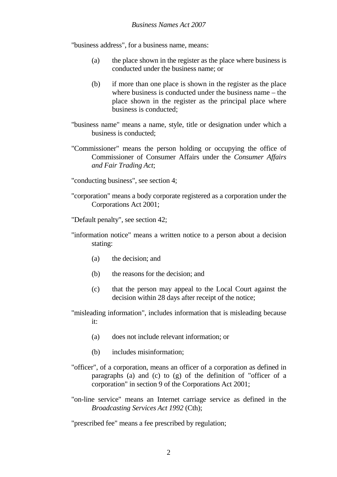"business address", for a business name, means:

- (a) the place shown in the register as the place where business is conducted under the business name; or
- (b) if more than one place is shown in the register as the place where business is conducted under the business name – the place shown in the register as the principal place where business is conducted;
- "business name" means a name, style, title or designation under which a business is conducted;
- "Commissioner" means the person holding or occupying the office of Commissioner of Consumer Affairs under the *Consumer Affairs and Fair Trading Act*;
- "conducting business", see section 4;
- "corporation" means a body corporate registered as a corporation under the Corporations Act 2001;

"Default penalty", see section 42;

- "information notice" means a written notice to a person about a decision stating:
	- (a) the decision; and
	- (b) the reasons for the decision; and
	- (c) that the person may appeal to the Local Court against the decision within 28 days after receipt of the notice;
- "misleading information", includes information that is misleading because it:
	- (a) does not include relevant information; or
	- (b) includes misinformation;
- "officer", of a corporation, means an officer of a corporation as defined in paragraphs (a) and (c) to (g) of the definition of "officer of a corporation" in section 9 of the Corporations Act 2001;
- "on-line service" means an Internet carriage service as defined in the *Broadcasting Services Act 1992* (Cth);

"prescribed fee" means a fee prescribed by regulation;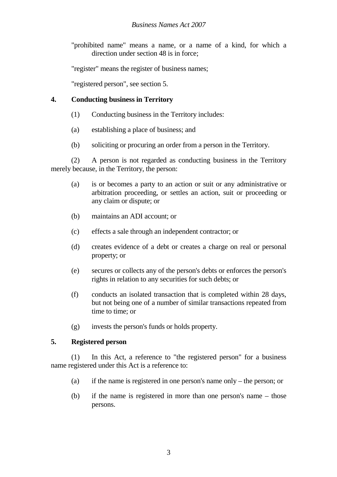"prohibited name" means a name, or a name of a kind, for which a direction under section 48 is in force;

"register" means the register of business names;

"registered person", see section 5.

# **4. Conducting business in Territory**

- (1) Conducting business in the Territory includes:
- (a) establishing a place of business; and
- (b) soliciting or procuring an order from a person in the Territory.

 (2) A person is not regarded as conducting business in the Territory merely because, in the Territory, the person:

- (a) is or becomes a party to an action or suit or any administrative or arbitration proceeding, or settles an action, suit or proceeding or any claim or dispute; or
- (b) maintains an ADI account; or
- (c) effects a sale through an independent contractor; or
- (d) creates evidence of a debt or creates a charge on real or personal property; or
- (e) secures or collects any of the person's debts or enforces the person's rights in relation to any securities for such debts; or
- (f) conducts an isolated transaction that is completed within 28 days, but not being one of a number of similar transactions repeated from time to time; or
- (g) invests the person's funds or holds property.

# **5. Registered person**

 (1) In this Act, a reference to "the registered person" for a business name registered under this Act is a reference to:

- (a) if the name is registered in one person's name only the person; or
- (b) if the name is registered in more than one person's name those persons.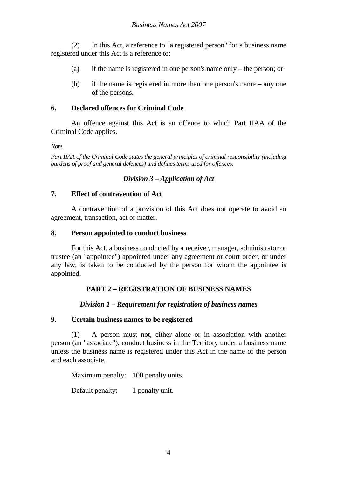(2) In this Act, a reference to "a registered person" for a business name registered under this Act is a reference to:

- (a) if the name is registered in one person's name only the person; or
- (b) if the name is registered in more than one person's name any one of the persons.

#### **6. Declared offences for Criminal Code**

 An offence against this Act is an offence to which Part IIAA of the Criminal Code applies.

*Note* 

*Part IIAA of the Criminal Code states the general principles of criminal responsibility (including burdens of proof and general defences) and defines terms used for offences.*

#### *Division 3 – Application of Act*

#### **7. Effect of contravention of Act**

 A contravention of a provision of this Act does not operate to avoid an agreement, transaction, act or matter.

#### **8. Person appointed to conduct business**

 For this Act, a business conducted by a receiver, manager, administrator or trustee (an "appointee") appointed under any agreement or court order, or under any law, is taken to be conducted by the person for whom the appointee is appointed.

## **PART 2 – REGISTRATION OF BUSINESS NAMES**

## *Division 1 – Requirement for registration of business names*

#### **9. Certain business names to be registered**

 (1) A person must not, either alone or in association with another person (an "associate"), conduct business in the Territory under a business name unless the business name is registered under this Act in the name of the person and each associate.

Maximum penalty: 100 penalty units.

Default penalty: 1 penalty unit.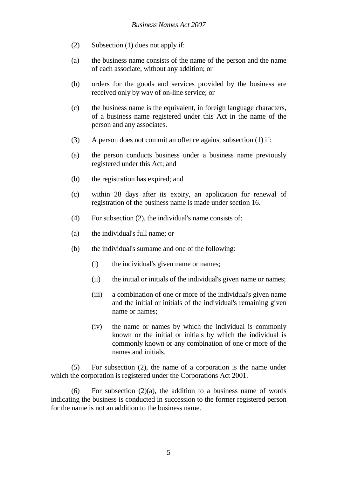- (2) Subsection (1) does not apply if:
- (a) the business name consists of the name of the person and the name of each associate, without any addition; or
- (b) orders for the goods and services provided by the business are received only by way of on-line service; or
- (c) the business name is the equivalent, in foreign language characters, of a business name registered under this Act in the name of the person and any associates.
- (3) A person does not commit an offence against subsection (1) if:
- (a) the person conducts business under a business name previously registered under this Act; and
- (b) the registration has expired; and
- (c) within 28 days after its expiry, an application for renewal of registration of the business name is made under section 16.
- (4) For subsection (2), the individual's name consists of:
- (a) the individual's full name; or
- (b) the individual's surname and one of the following:
	- (i) the individual's given name or names;
	- (ii) the initial or initials of the individual's given name or names;
	- (iii) a combination of one or more of the individual's given name and the initial or initials of the individual's remaining given name or names;
	- (iv) the name or names by which the individual is commonly known or the initial or initials by which the individual is commonly known or any combination of one or more of the names and initials.

 (5) For subsection (2), the name of a corporation is the name under which the corporation is registered under the Corporations Act 2001.

(6) For subsection  $(2)(a)$ , the addition to a business name of words indicating the business is conducted in succession to the former registered person for the name is not an addition to the business name.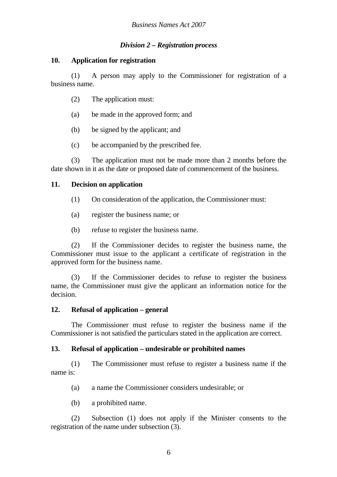# *Division 2 – Registration process*

## **10. Application for registration**

 (1) A person may apply to the Commissioner for registration of a business name.

- (2) The application must:
- (a) be made in the approved form; and
- (b) be signed by the applicant; and
- (c) be accompanied by the prescribed fee.

 (3) The application must not be made more than 2 months before the date shown in it as the date or proposed date of commencement of the business.

## **11. Decision on application**

- (1) On consideration of the application, the Commissioner must:
- (a) register the business name; or
- (b) refuse to register the business name.

 (2) If the Commissioner decides to register the business name, the Commissioner must issue to the applicant a certificate of registration in the approved form for the business name.

 (3) If the Commissioner decides to refuse to register the business name, the Commissioner must give the applicant an information notice for the decision.

## **12. Refusal of application – general**

 The Commissioner must refuse to register the business name if the Commissioner is not satisfied the particulars stated in the application are correct.

# **13. Refusal of application – undesirable or prohibited names**

 (1) The Commissioner must refuse to register a business name if the name is:

(a) a name the Commissioner considers undesirable; or

(b) a prohibited name.

 (2) Subsection (1) does not apply if the Minister consents to the registration of the name under subsection (3).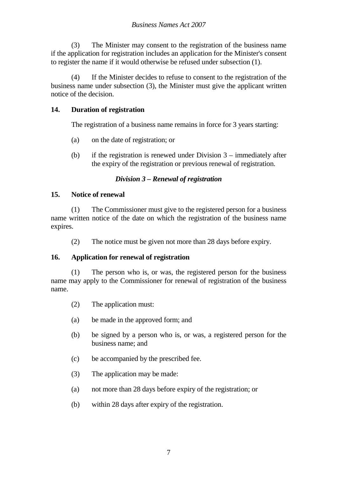(3) The Minister may consent to the registration of the business name if the application for registration includes an application for the Minister's consent to register the name if it would otherwise be refused under subsection (1).

 (4) If the Minister decides to refuse to consent to the registration of the business name under subsection (3), the Minister must give the applicant written notice of the decision.

# **14. Duration of registration**

The registration of a business name remains in force for 3 years starting:

- (a) on the date of registration; or
- (b) if the registration is renewed under Division 3 immediately after the expiry of the registration or previous renewal of registration.

# *Division 3 – Renewal of registration*

# **15. Notice of renewal**

 (1) The Commissioner must give to the registered person for a business name written notice of the date on which the registration of the business name expires.

(2) The notice must be given not more than 28 days before expiry.

# **16. Application for renewal of registration**

 (1) The person who is, or was, the registered person for the business name may apply to the Commissioner for renewal of registration of the business name.

- (2) The application must:
- (a) be made in the approved form; and
- (b) be signed by a person who is, or was, a registered person for the business name; and
- (c) be accompanied by the prescribed fee.
- (3) The application may be made:
- (a) not more than 28 days before expiry of the registration; or
- (b) within 28 days after expiry of the registration.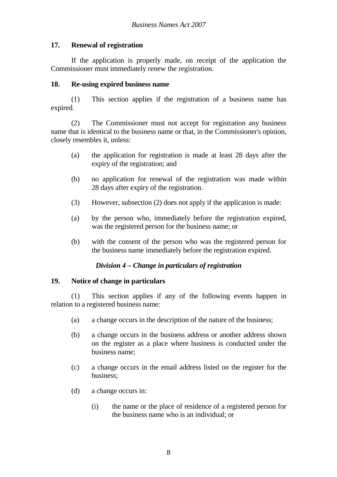# **17. Renewal of registration**

 If the application is properly made, on receipt of the application the Commissioner must immediately renew the registration.

## **18. Re-using expired business name**

 (1) This section applies if the registration of a business name has expired.

 (2) The Commissioner must not accept for registration any business name that is identical to the business name or that, in the Commissioner's opinion, closely resembles it, unless:

- (a) the application for registration is made at least 28 days after the expiry of the registration; and
- (b) no application for renewal of the registration was made within 28 days after expiry of the registration.
- (3) However, subsection (2) does not apply if the application is made:
- (a) by the person who, immediately before the registration expired, was the registered person for the business name; or
- (b) with the consent of the person who was the registered person for the business name immediately before the registration expired.

## *Division 4 – Change in particulars of registration*

## **19. Notice of change in particulars**

 (1) This section applies if any of the following events happen in relation to a registered business name:

- (a) a change occurs in the description of the nature of the business;
- (b) a change occurs in the business address or another address shown on the register as a place where business is conducted under the business name;
- (c) a change occurs in the email address listed on the register for the business;
- (d) a change occurs in:
	- (i) the name or the place of residence of a registered person for the business name who is an individual; or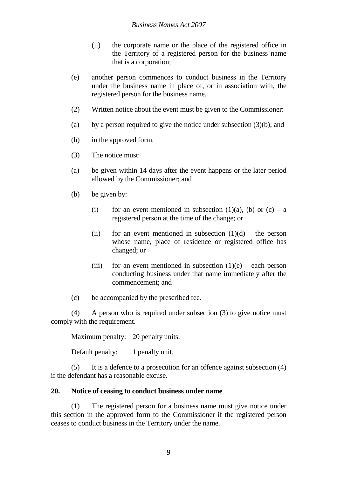- (ii) the corporate name or the place of the registered office in the Territory of a registered person for the business name that is a corporation;
- (e) another person commences to conduct business in the Territory under the business name in place of, or in association with, the registered person for the business name.
- (2) Written notice about the event must be given to the Commissioner:
- (a) by a person required to give the notice under subsection  $(3)(b)$ ; and
- (b) in the approved form.
- (3) The notice must:
- (a) be given within 14 days after the event happens or the later period allowed by the Commissioner; and
- (b) be given by:
	- (i) for an event mentioned in subsection (1)(a), (b) or  $(c) a$ registered person at the time of the change; or
	- (ii) for an event mentioned in subsection  $(1)(d)$  the person whose name, place of residence or registered office has changed; or
	- (iii) for an event mentioned in subsection  $(1)(e)$  each person conducting business under that name immediately after the commencement; and
- (c) be accompanied by the prescribed fee.

 (4) A person who is required under subsection (3) to give notice must comply with the requirement.

Maximum penalty: 20 penalty units.

Default penalty: 1 penalty unit.

 (5) It is a defence to a prosecution for an offence against subsection (4) if the defendant has a reasonable excuse.

#### **20. Notice of ceasing to conduct business under name**

 (1) The registered person for a business name must give notice under this section in the approved form to the Commissioner if the registered person ceases to conduct business in the Territory under the name.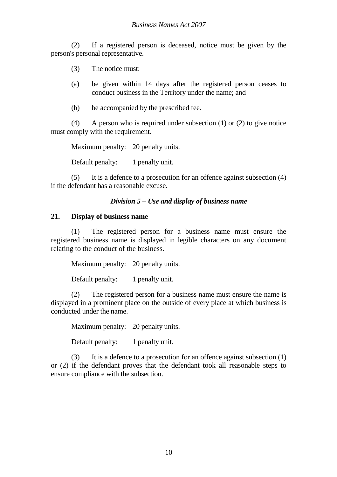(2) If a registered person is deceased, notice must be given by the person's personal representative.

- (3) The notice must:
- (a) be given within 14 days after the registered person ceases to conduct business in the Territory under the name; and
- (b) be accompanied by the prescribed fee.

 (4) A person who is required under subsection (1) or (2) to give notice must comply with the requirement.

Maximum penalty: 20 penalty units.

Default penalty: 1 penalty unit.

 (5) It is a defence to a prosecution for an offence against subsection (4) if the defendant has a reasonable excuse.

#### *Division 5 – Use and display of business name*

#### **21. Display of business name**

 (1) The registered person for a business name must ensure the registered business name is displayed in legible characters on any document relating to the conduct of the business.

Maximum penalty: 20 penalty units.

Default penalty: 1 penalty unit.

 (2) The registered person for a business name must ensure the name is displayed in a prominent place on the outside of every place at which business is conducted under the name.

Maximum penalty: 20 penalty units.

Default penalty: 1 penalty unit.

 (3) It is a defence to a prosecution for an offence against subsection (1) or (2) if the defendant proves that the defendant took all reasonable steps to ensure compliance with the subsection.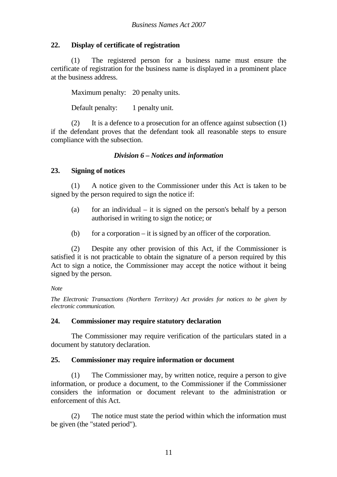# **22. Display of certificate of registration**

 (1) The registered person for a business name must ensure the certificate of registration for the business name is displayed in a prominent place at the business address.

Maximum penalty: 20 penalty units.

Default penalty: 1 penalty unit.

 (2) It is a defence to a prosecution for an offence against subsection (1) if the defendant proves that the defendant took all reasonable steps to ensure compliance with the subsection.

# *Division 6 – Notices and information*

# **23. Signing of notices**

 (1) A notice given to the Commissioner under this Act is taken to be signed by the person required to sign the notice if:

- (a) for an individual it is signed on the person's behalf by a person authorised in writing to sign the notice; or
- (b) for a corporation it is signed by an officer of the corporation.

 (2) Despite any other provision of this Act, if the Commissioner is satisfied it is not practicable to obtain the signature of a person required by this Act to sign a notice, the Commissioner may accept the notice without it being signed by the person.

#### *Note*

*The Electronic Transactions (Northern Territory) Act provides for notices to be given by electronic communication.* 

## **24. Commissioner may require statutory declaration**

 The Commissioner may require verification of the particulars stated in a document by statutory declaration.

## **25. Commissioner may require information or document**

 (1) The Commissioner may, by written notice, require a person to give information, or produce a document, to the Commissioner if the Commissioner considers the information or document relevant to the administration or enforcement of this Act.

 (2) The notice must state the period within which the information must be given (the "stated period").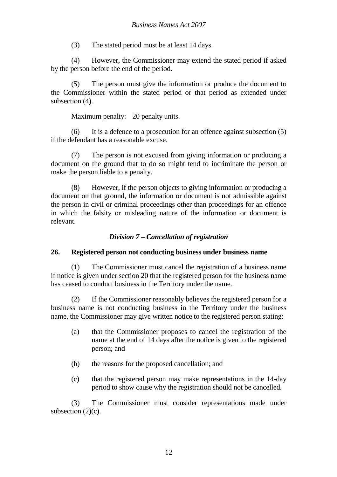(3) The stated period must be at least 14 days.

 (4) However, the Commissioner may extend the stated period if asked by the person before the end of the period.

 (5) The person must give the information or produce the document to the Commissioner within the stated period or that period as extended under subsection (4).

Maximum penalty: 20 penalty units.

 (6) It is a defence to a prosecution for an offence against subsection (5) if the defendant has a reasonable excuse.

 (7) The person is not excused from giving information or producing a document on the ground that to do so might tend to incriminate the person or make the person liable to a penalty.

 (8) However, if the person objects to giving information or producing a document on that ground, the information or document is not admissible against the person in civil or criminal proceedings other than proceedings for an offence in which the falsity or misleading nature of the information or document is relevant.

# *Division 7 – Cancellation of registration*

# **26. Registered person not conducting business under business name**

 (1) The Commissioner must cancel the registration of a business name if notice is given under section 20 that the registered person for the business name has ceased to conduct business in the Territory under the name.

 (2) If the Commissioner reasonably believes the registered person for a business name is not conducting business in the Territory under the business name, the Commissioner may give written notice to the registered person stating:

- (a) that the Commissioner proposes to cancel the registration of the name at the end of 14 days after the notice is given to the registered person; and
- (b) the reasons for the proposed cancellation; and
- (c) that the registered person may make representations in the 14-day period to show cause why the registration should not be cancelled.

 (3) The Commissioner must consider representations made under subsection  $(2)(c)$ .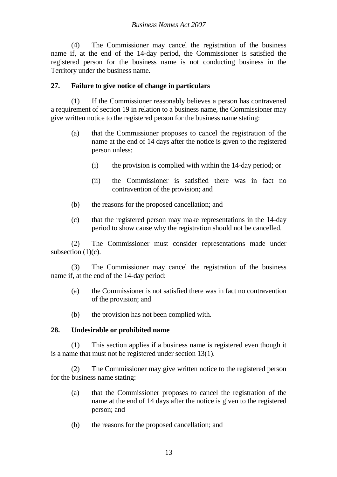#### *Business Names Act 2007*

 (4) The Commissioner may cancel the registration of the business name if, at the end of the 14-day period, the Commissioner is satisfied the registered person for the business name is not conducting business in the Territory under the business name.

#### **27. Failure to give notice of change in particulars**

 (1) If the Commissioner reasonably believes a person has contravened a requirement of section 19 in relation to a business name, the Commissioner may give written notice to the registered person for the business name stating:

- (a) that the Commissioner proposes to cancel the registration of the name at the end of 14 days after the notice is given to the registered person unless:
	- (i) the provision is complied with within the 14-day period; or
	- (ii) the Commissioner is satisfied there was in fact no contravention of the provision; and
- (b) the reasons for the proposed cancellation; and
- (c) that the registered person may make representations in the 14-day period to show cause why the registration should not be cancelled.

 (2) The Commissioner must consider representations made under subsection  $(1)(c)$ .

 (3) The Commissioner may cancel the registration of the business name if, at the end of the 14-day period:

- (a) the Commissioner is not satisfied there was in fact no contravention of the provision; and
- (b) the provision has not been complied with.

#### **28. Undesirable or prohibited name**

 (1) This section applies if a business name is registered even though it is a name that must not be registered under section 13(1).

 (2) The Commissioner may give written notice to the registered person for the business name stating:

- (a) that the Commissioner proposes to cancel the registration of the name at the end of 14 days after the notice is given to the registered person; and
- (b) the reasons for the proposed cancellation; and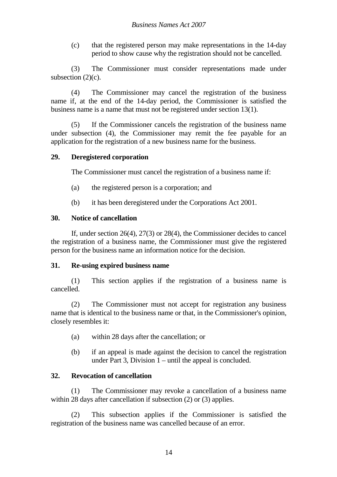(c) that the registered person may make representations in the 14-day period to show cause why the registration should not be cancelled.

 (3) The Commissioner must consider representations made under subsection  $(2)(c)$ .

 (4) The Commissioner may cancel the registration of the business name if, at the end of the 14-day period, the Commissioner is satisfied the business name is a name that must not be registered under section 13(1).

 (5) If the Commissioner cancels the registration of the business name under subsection (4), the Commissioner may remit the fee payable for an application for the registration of a new business name for the business.

# **29. Deregistered corporation**

The Commissioner must cancel the registration of a business name if:

- (a) the registered person is a corporation; and
- (b) it has been deregistered under the Corporations Act 2001.

# **30. Notice of cancellation**

 If, under section 26(4), 27(3) or 28(4), the Commissioner decides to cancel the registration of a business name, the Commissioner must give the registered person for the business name an information notice for the decision.

## **31. Re-using expired business name**

 (1) This section applies if the registration of a business name is cancelled.

 (2) The Commissioner must not accept for registration any business name that is identical to the business name or that, in the Commissioner's opinion, closely resembles it:

- (a) within 28 days after the cancellation; or
- (b) if an appeal is made against the decision to cancel the registration under Part 3, Division 1 – until the appeal is concluded.

# **32. Revocation of cancellation**

 (1) The Commissioner may revoke a cancellation of a business name within 28 days after cancellation if subsection (2) or (3) applies.

 (2) This subsection applies if the Commissioner is satisfied the registration of the business name was cancelled because of an error.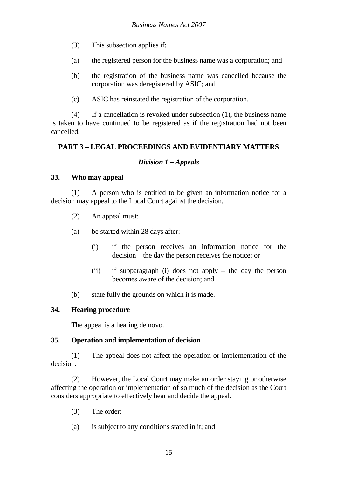- (3) This subsection applies if:
- (a) the registered person for the business name was a corporation; and
- (b) the registration of the business name was cancelled because the corporation was deregistered by ASIC; and
- (c) ASIC has reinstated the registration of the corporation.

 (4) If a cancellation is revoked under subsection (1), the business name is taken to have continued to be registered as if the registration had not been cancelled.

# **PART 3 – LEGAL PROCEEDINGS AND EVIDENTIARY MATTERS**

## *Division 1 – Appeals*

#### **33. Who may appeal**

 (1) A person who is entitled to be given an information notice for a decision may appeal to the Local Court against the decision.

- (2) An appeal must:
- (a) be started within 28 days after:
	- (i) if the person receives an information notice for the decision – the day the person receives the notice; or
	- (ii) if subparagraph (i) does not apply the day the person becomes aware of the decision; and
- (b) state fully the grounds on which it is made.

## **34. Hearing procedure**

The appeal is a hearing de novo.

## **35. Operation and implementation of decision**

 (1) The appeal does not affect the operation or implementation of the decision.

 (2) However, the Local Court may make an order staying or otherwise affecting the operation or implementation of so much of the decision as the Court considers appropriate to effectively hear and decide the appeal.

- (3) The order:
- (a) is subject to any conditions stated in it; and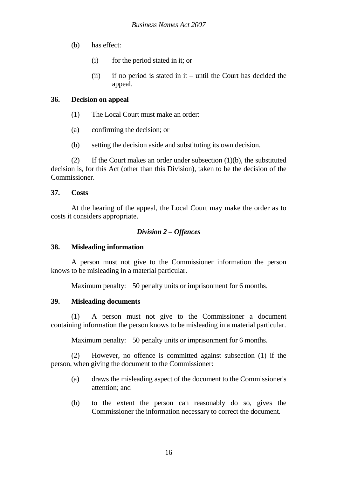- (b) has effect:
	- (i) for the period stated in it; or
	- (ii) if no period is stated in it until the Court has decided the appeal.

#### **36. Decision on appeal**

- (1) The Local Court must make an order:
- (a) confirming the decision; or
- (b) setting the decision aside and substituting its own decision.

 (2) If the Court makes an order under subsection (1)(b), the substituted decision is, for this Act (other than this Division), taken to be the decision of the Commissioner.

#### **37. Costs**

At the hearing of the appeal, the Local Court may make the order as to costs it considers appropriate.

#### *Division 2 – Offences*

#### **38. Misleading information**

 A person must not give to the Commissioner information the person knows to be misleading in a material particular.

Maximum penalty: 50 penalty units or imprisonment for 6 months.

#### **39. Misleading documents**

 (1) A person must not give to the Commissioner a document containing information the person knows to be misleading in a material particular.

Maximum penalty: 50 penalty units or imprisonment for 6 months.

 (2) However, no offence is committed against subsection (1) if the person, when giving the document to the Commissioner:

- (a) draws the misleading aspect of the document to the Commissioner's attention; and
- (b) to the extent the person can reasonably do so, gives the Commissioner the information necessary to correct the document.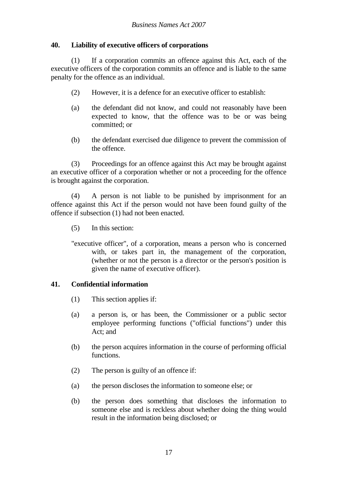## **40. Liability of executive officers of corporations**

 (1) If a corporation commits an offence against this Act, each of the executive officers of the corporation commits an offence and is liable to the same penalty for the offence as an individual.

- (2) However, it is a defence for an executive officer to establish:
- (a) the defendant did not know, and could not reasonably have been expected to know, that the offence was to be or was being committed; or
- (b) the defendant exercised due diligence to prevent the commission of the offence.

 (3) Proceedings for an offence against this Act may be brought against an executive officer of a corporation whether or not a proceeding for the offence is brought against the corporation.

 (4) A person is not liable to be punished by imprisonment for an offence against this Act if the person would not have been found guilty of the offence if subsection (1) had not been enacted.

- (5) In this section:
- "executive officer", of a corporation, means a person who is concerned with, or takes part in, the management of the corporation, (whether or not the person is a director or the person's position is given the name of executive officer).

## **41. Confidential information**

- (1) This section applies if:
- (a) a person is, or has been, the Commissioner or a public sector employee performing functions ("official functions") under this Act; and
- (b) the person acquires information in the course of performing official functions.
- (2) The person is guilty of an offence if:
- (a) the person discloses the information to someone else; or
- (b) the person does something that discloses the information to someone else and is reckless about whether doing the thing would result in the information being disclosed; or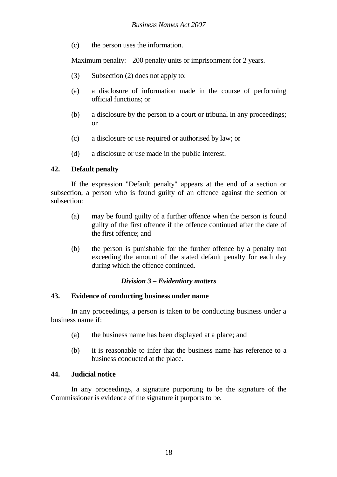(c) the person uses the information.

Maximum penalty: 200 penalty units or imprisonment for 2 years.

- (3) Subsection (2) does not apply to:
- (a) a disclosure of information made in the course of performing official functions; or
- (b) a disclosure by the person to a court or tribunal in any proceedings; or
- (c) a disclosure or use required or authorised by law; or
- (d) a disclosure or use made in the public interest.

# **42. Default penalty**

 If the expression "Default penalty" appears at the end of a section or subsection, a person who is found guilty of an offence against the section or subsection:

- (a) may be found guilty of a further offence when the person is found guilty of the first offence if the offence continued after the date of the first offence; and
- (b) the person is punishable for the further offence by a penalty not exceeding the amount of the stated default penalty for each day during which the offence continued.

## *Division 3 – Evidentiary matters*

## **43. Evidence of conducting business under name**

 In any proceedings, a person is taken to be conducting business under a business name if:

- (a) the business name has been displayed at a place; and
- (b) it is reasonable to infer that the business name has reference to a business conducted at the place.

## **44. Judicial notice**

 In any proceedings, a signature purporting to be the signature of the Commissioner is evidence of the signature it purports to be.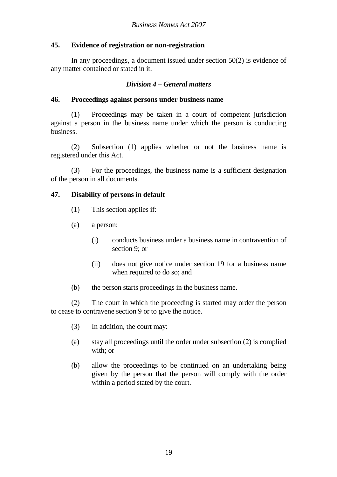## **45. Evidence of registration or non-registration**

 In any proceedings, a document issued under section 50(2) is evidence of any matter contained or stated in it.

#### *Division 4 – General matters*

#### **46. Proceedings against persons under business name**

 (1) Proceedings may be taken in a court of competent jurisdiction against a person in the business name under which the person is conducting business.

 (2) Subsection (1) applies whether or not the business name is registered under this Act.

 (3) For the proceedings, the business name is a sufficient designation of the person in all documents.

#### **47. Disability of persons in default**

- (1) This section applies if:
- (a) a person:
	- (i) conducts business under a business name in contravention of section 9; or
	- (ii) does not give notice under section 19 for a business name when required to do so; and
- (b) the person starts proceedings in the business name.

 (2) The court in which the proceeding is started may order the person to cease to contravene section 9 or to give the notice.

- (3) In addition, the court may:
- (a) stay all proceedings until the order under subsection (2) is complied with; or
- (b) allow the proceedings to be continued on an undertaking being given by the person that the person will comply with the order within a period stated by the court.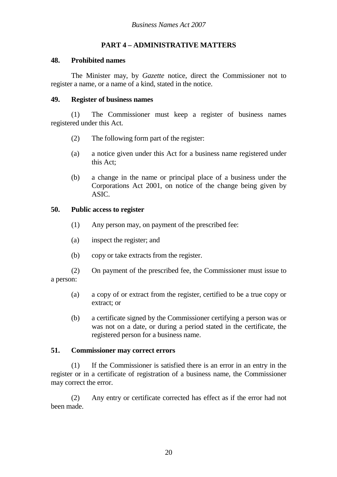# **PART 4 – ADMINISTRATIVE MATTERS**

#### **48. Prohibited names**

 The Minister may, by *Gazette* notice, direct the Commissioner not to register a name, or a name of a kind, stated in the notice.

#### **49. Register of business names**

 (1) The Commissioner must keep a register of business names registered under this Act.

- (2) The following form part of the register:
- (a) a notice given under this Act for a business name registered under this Act;
- (b) a change in the name or principal place of a business under the Corporations Act 2001, on notice of the change being given by ASIC.

## **50. Public access to register**

- (1) Any person may, on payment of the prescribed fee:
- (a) inspect the register; and
- (b) copy or take extracts from the register.
- (2) On payment of the prescribed fee, the Commissioner must issue to a person:
	- (a) a copy of or extract from the register, certified to be a true copy or extract; or
	- (b) a certificate signed by the Commissioner certifying a person was or was not on a date, or during a period stated in the certificate, the registered person for a business name.

## **51. Commissioner may correct errors**

 (1) If the Commissioner is satisfied there is an error in an entry in the register or in a certificate of registration of a business name, the Commissioner may correct the error.

 (2) Any entry or certificate corrected has effect as if the error had not been made.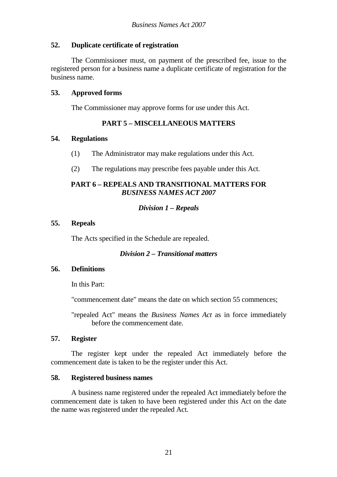## **52. Duplicate certificate of registration**

 The Commissioner must, on payment of the prescribed fee, issue to the registered person for a business name a duplicate certificate of registration for the business name.

## **53. Approved forms**

The Commissioner may approve forms for use under this Act.

# **PART 5 – MISCELLANEOUS MATTERS**

#### **54. Regulations**

- (1) The Administrator may make regulations under this Act.
- (2) The regulations may prescribe fees payable under this Act.

#### **PART 6 – REPEALS AND TRANSITIONAL MATTERS FOR**  *BUSINESS NAMES ACT 2007*

# *Division 1 – Repeals*

## **55. Repeals**

The Acts specified in the Schedule are repealed.

## *Division 2 – Transitional matters*

## **56. Definitions**

In this Part:

"commencement date" means the date on which section 55 commences;

"repealed Act" means the *Business Names Act* as in force immediately before the commencement date.

#### **57. Register**

 The register kept under the repealed Act immediately before the commencement date is taken to be the register under this Act.

## **58. Registered business names**

 A business name registered under the repealed Act immediately before the commencement date is taken to have been registered under this Act on the date the name was registered under the repealed Act.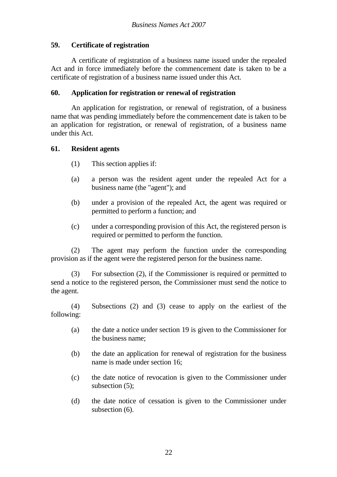# **59. Certificate of registration**

 A certificate of registration of a business name issued under the repealed Act and in force immediately before the commencement date is taken to be a certificate of registration of a business name issued under this Act.

## **60. Application for registration or renewal of registration**

 An application for registration, or renewal of registration, of a business name that was pending immediately before the commencement date is taken to be an application for registration, or renewal of registration, of a business name under this Act.

## **61. Resident agents**

- (1) This section applies if:
- (a) a person was the resident agent under the repealed Act for a business name (the "agent"); and
- (b) under a provision of the repealed Act, the agent was required or permitted to perform a function; and
- (c) under a corresponding provision of this Act, the registered person is required or permitted to perform the function.

 (2) The agent may perform the function under the corresponding provision as if the agent were the registered person for the business name.

 (3) For subsection (2), if the Commissioner is required or permitted to send a notice to the registered person, the Commissioner must send the notice to the agent.

 (4) Subsections (2) and (3) cease to apply on the earliest of the following:

- (a) the date a notice under section 19 is given to the Commissioner for the business name;
- (b) the date an application for renewal of registration for the business name is made under section 16;
- (c) the date notice of revocation is given to the Commissioner under subsection (5);
- (d) the date notice of cessation is given to the Commissioner under subsection (6).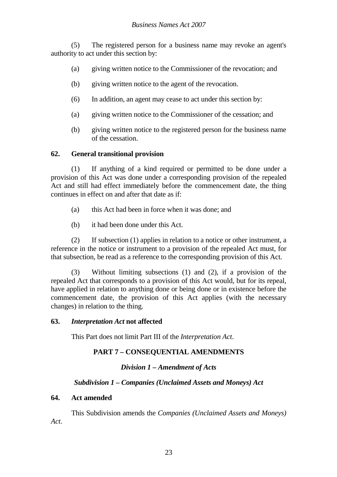(5) The registered person for a business name may revoke an agent's authority to act under this section by:

- (a) giving written notice to the Commissioner of the revocation; and
- (b) giving written notice to the agent of the revocation.
- (6) In addition, an agent may cease to act under this section by:
- (a) giving written notice to the Commissioner of the cessation; and
- (b) giving written notice to the registered person for the business name of the cessation.

# **62. General transitional provision**

 (1) If anything of a kind required or permitted to be done under a provision of this Act was done under a corresponding provision of the repealed Act and still had effect immediately before the commencement date, the thing continues in effect on and after that date as if:

- (a) this Act had been in force when it was done; and
- (b) it had been done under this Act.

 (2) If subsection (1) applies in relation to a notice or other instrument, a reference in the notice or instrument to a provision of the repealed Act must, for that subsection, be read as a reference to the corresponding provision of this Act.

 (3) Without limiting subsections (1) and (2), if a provision of the repealed Act that corresponds to a provision of this Act would, but for its repeal, have applied in relation to anything done or being done or in existence before the commencement date, the provision of this Act applies (with the necessary changes) in relation to the thing.

## **63.** *Interpretation Act* **not affected**

This Part does not limit Part III of the *Interpretation Act*.

# **PART 7 – CONSEQUENTIAL AMENDMENTS**

# *Division 1 – Amendment of Acts*

# *Subdivision 1 – Companies (Unclaimed Assets and Moneys) Act*

## **64. Act amended**

 This Subdivision amends the *Companies (Unclaimed Assets and Moneys) Act*.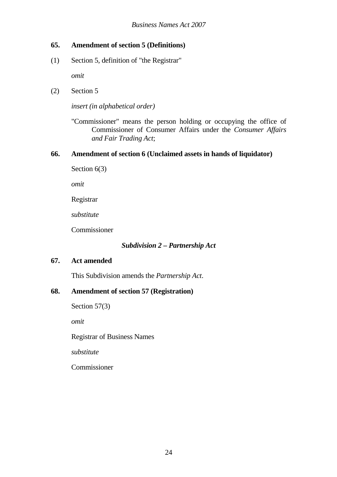# **65. Amendment of section 5 (Definitions)**

(1) Section 5, definition of "the Registrar"

*omit*

(2) Section 5

*insert (in alphabetical order)*

"Commissioner" means the person holding or occupying the office of Commissioner of Consumer Affairs under the *Consumer Affairs and Fair Trading Act*;

## **66. Amendment of section 6 (Unclaimed assets in hands of liquidator)**

Section 6(3)

*omit*

Registrar

*substitute* 

Commissioner

## *Subdivision 2 – Partnership Act*

## **67. Act amended**

This Subdivision amends the *Partnership Act*.

# **68. Amendment of section 57 (Registration)**

Section 57(3)

*omit*

Registrar of Business Names

*substitute* 

Commissioner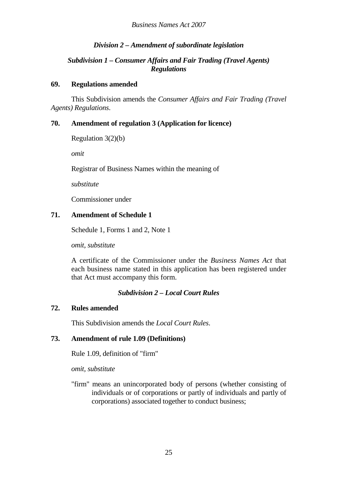# *Division 2 – Amendment of subordinate legislation*

# *Subdivision 1 – Consumer Affairs and Fair Trading (Travel Agents) Regulations*

## **69. Regulations amended**

 This Subdivision amends the *Consumer Affairs and Fair Trading (Travel Agents) Regulations*.

# **70. Amendment of regulation 3 (Application for licence)**

```
 Regulation 3(2)(b)
```
*omit*

Registrar of Business Names within the meaning of

*substitute*

Commissioner under

# **71. Amendment of Schedule 1**

Schedule 1, Forms 1 and 2, Note 1

*omit, substitute*

A certificate of the Commissioner under the *Business Names Act* that each business name stated in this application has been registered under that Act must accompany this form.

# *Subdivision 2 – Local Court Rules*

# **72. Rules amended**

This Subdivision amends the *Local Court Rules*.

# **73. Amendment of rule 1.09 (Definitions)**

Rule 1.09, definition of "firm"

*omit, substitute* 

"firm" means an unincorporated body of persons (whether consisting of individuals or of corporations or partly of individuals and partly of corporations) associated together to conduct business;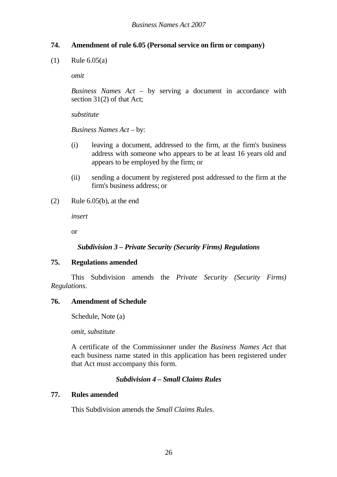# **74. Amendment of rule 6.05 (Personal service on firm or company)**

(1) Rule 6.05(a)

*omit*

*Business Names Act* – by serving a document in accordance with section 31(2) of that Act;

*substitute* 

*Business Names Act* – by:

- (i) leaving a document, addressed to the firm, at the firm's business address with someone who appears to be at least 16 years old and appears to be employed by the firm; or
- (ii) sending a document by registered post addressed to the firm at the firm's business address; or
- $(2)$  Rule 6.05(b), at the end

*insert*

or

## *Subdivision 3 – Private Security (Security Firms) Regulations*

## **75. Regulations amended**

 This Subdivision amends the *Private Security (Security Firms) Regulations*.

#### **76. Amendment of Schedule**

Schedule, Note (a)

*omit, substitute*

A certificate of the Commissioner under the *Business Names Act* that each business name stated in this application has been registered under that Act must accompany this form.

## *Subdivision 4 – Small Claims Rules*

## **77. Rules amended**

This Subdivision amends the *Small Claims Rules*.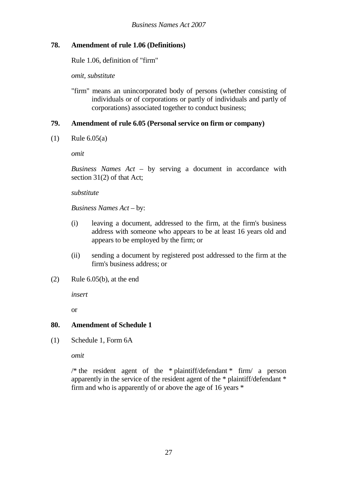# **78. Amendment of rule 1.06 (Definitions)**

Rule 1.06, definition of "firm"

*omit, substitute* 

"firm" means an unincorporated body of persons (whether consisting of individuals or of corporations or partly of individuals and partly of corporations) associated together to conduct business;

# **79. Amendment of rule 6.05 (Personal service on firm or company)**

(1) Rule 6.05(a)

*omit*

*Business Names Act* – by serving a document in accordance with section 31(2) of that Act;

*substitute* 

#### *Business Names Act* – by:

- (i) leaving a document, addressed to the firm, at the firm's business address with someone who appears to be at least 16 years old and appears to be employed by the firm; or
- (ii) sending a document by registered post addressed to the firm at the firm's business address; or
- (2) Rule 6.05(b), at the end

*insert*

or

## **80. Amendment of Schedule 1**

(1) Schedule 1, Form 6A

*omit* 

/\* the resident agent of the \* plaintiff/defendant \* firm/ a person apparently in the service of the resident agent of the \* plaintiff/defendant \* firm and who is apparently of or above the age of 16 years \*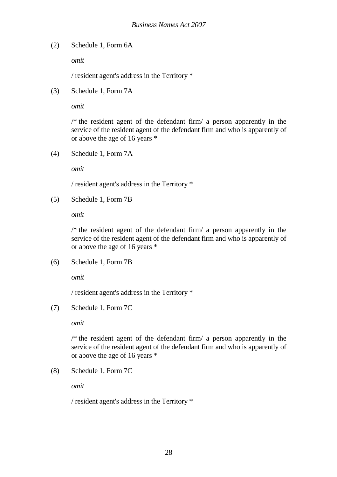(2) Schedule 1, Form 6A

*omit* 

/ resident agent's address in the Territory \*

(3) Schedule 1, Form 7A

*omit* 

/\* the resident agent of the defendant firm/ a person apparently in the service of the resident agent of the defendant firm and who is apparently of or above the age of 16 years \*

(4) Schedule 1, Form 7A

*omit* 

/ resident agent's address in the Territory \*

(5) Schedule 1, Form 7B

*omit* 

/\* the resident agent of the defendant firm/ a person apparently in the service of the resident agent of the defendant firm and who is apparently of or above the age of 16 years \*

(6) Schedule 1, Form 7B

*omit* 

/ resident agent's address in the Territory \*

(7) Schedule 1, Form 7C

*omit* 

 $/*$  the resident agent of the defendant firm a person apparently in the service of the resident agent of the defendant firm and who is apparently of or above the age of 16 years \*

(8) Schedule 1, Form 7C

*omit* 

/ resident agent's address in the Territory \*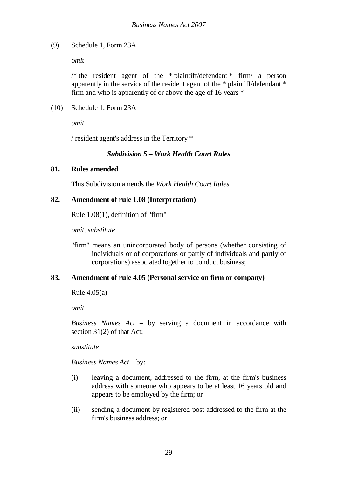## (9) Schedule 1, Form 23A

*omit* 

/\* the resident agent of the \* plaintiff/defendant \* firm/ a person apparently in the service of the resident agent of the \* plaintiff/defendant \* firm and who is apparently of or above the age of 16 years \*

(10) Schedule 1, Form 23A

*omit* 

/ resident agent's address in the Territory \*

## *Subdivision 5 – Work Health Court Rules*

## **81. Rules amended**

This Subdivision amends the *Work Health Court Rules*.

## **82. Amendment of rule 1.08 (Interpretation)**

Rule 1.08(1), definition of "firm"

*omit, substitute* 

"firm" means an unincorporated body of persons (whether consisting of individuals or of corporations or partly of individuals and partly of corporations) associated together to conduct business;

## **83. Amendment of rule 4.05 (Personal service on firm or company)**

Rule 4.05(a)

*omit*

*Business Names Act* – by serving a document in accordance with section 31(2) of that Act;

*substitute* 

*Business Names Act* – by:

- (i) leaving a document, addressed to the firm, at the firm's business address with someone who appears to be at least 16 years old and appears to be employed by the firm; or
- (ii) sending a document by registered post addressed to the firm at the firm's business address; or